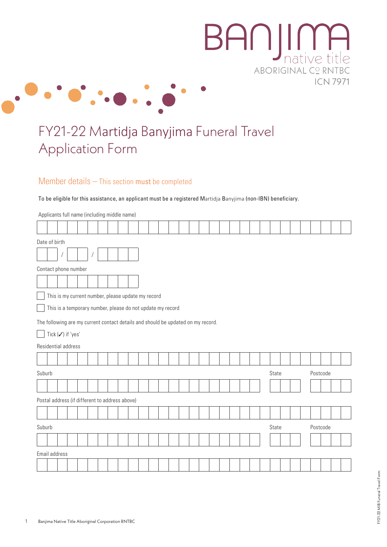

## FY21-22 Martidja Banyjima Funeral Travel Application Form

## Member details – This section must be completed

To be eligible for this assistance, an applicant must be a registered Martidja Banyjima (non-IBN) beneficiary.

| Applicants full name (including middle name)                                     |  |  |  |  |  |  |  |  |       |  |          |  |  |
|----------------------------------------------------------------------------------|--|--|--|--|--|--|--|--|-------|--|----------|--|--|
|                                                                                  |  |  |  |  |  |  |  |  |       |  |          |  |  |
| Date of birth                                                                    |  |  |  |  |  |  |  |  |       |  |          |  |  |
|                                                                                  |  |  |  |  |  |  |  |  |       |  |          |  |  |
| Contact phone number                                                             |  |  |  |  |  |  |  |  |       |  |          |  |  |
|                                                                                  |  |  |  |  |  |  |  |  |       |  |          |  |  |
| This is my current number, please update my record                               |  |  |  |  |  |  |  |  |       |  |          |  |  |
| This is a temporary number, please do not update my record                       |  |  |  |  |  |  |  |  |       |  |          |  |  |
| The following are my current contact details and should be updated on my record. |  |  |  |  |  |  |  |  |       |  |          |  |  |
| Tick (√) if 'yes'                                                                |  |  |  |  |  |  |  |  |       |  |          |  |  |
| Residential address                                                              |  |  |  |  |  |  |  |  |       |  |          |  |  |
|                                                                                  |  |  |  |  |  |  |  |  |       |  |          |  |  |
| Suburb                                                                           |  |  |  |  |  |  |  |  | State |  | Postcode |  |  |
|                                                                                  |  |  |  |  |  |  |  |  |       |  |          |  |  |
| Postal address (if different to address above)                                   |  |  |  |  |  |  |  |  |       |  |          |  |  |
|                                                                                  |  |  |  |  |  |  |  |  |       |  |          |  |  |
| Suburb                                                                           |  |  |  |  |  |  |  |  | State |  | Postcode |  |  |
|                                                                                  |  |  |  |  |  |  |  |  |       |  |          |  |  |
| Email address                                                                    |  |  |  |  |  |  |  |  |       |  |          |  |  |
|                                                                                  |  |  |  |  |  |  |  |  |       |  |          |  |  |